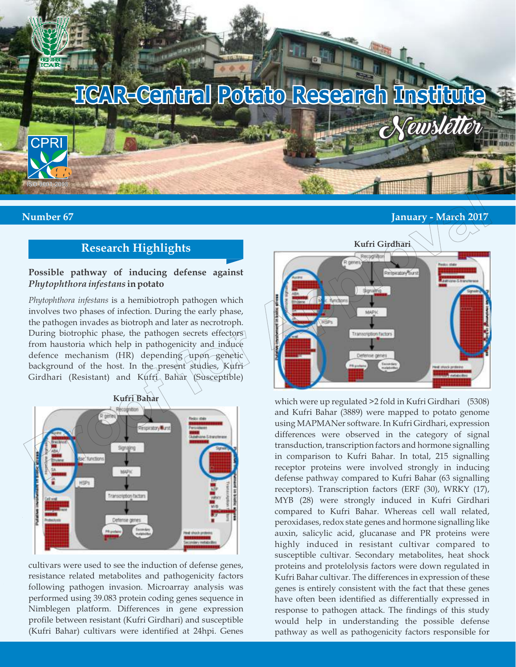

### **Number 67 January - March 2017**

# **Research Highlights**

### **Possible pathway of inducing defense against**  *Phytophthora infestans* **in potato**

*Phytophthora infestans* is a hemibiotroph pathogen which involves two phases of infection. During the early phase, the pathogen invades as biotroph and later as necrotroph. During biotrophic phase, the pathogen secrets effectors from haustoria which help in pathogenicity and induce defence mechanism (HR) depending upon genetic background of the host. In the present studies, Kufri Girdhari (Resistant) and Kuffi Bahar (Susceptible)



cultivars were used to see the induction of defense genes, resistance related metabolites and pathogenicity factors following pathogen invasion. Microarray analysis was performed using 39.083 protein coding genes sequence in Nimblegen platform. Differences in gene expression profile between resistant (Kufri Girdhari) and susceptible (Kufri Bahar) cultivars were identified at 24hpi. Genes



which were up regulated >2 fold in Kufri Girdhari (5308) and Kufri Bahar (3889) were mapped to potato genome using MAPMANer software. In Kufri Girdhari, expression differences were observed in the category of signal transduction, transcription factors and hormone signalling in comparison to Kufri Bahar. In total, 215 signalling receptor proteins were involved strongly in inducing defense pathway compared to Kufri Bahar (63 signalling receptors). Transcription factors (ERF (30), WRKY (17), MYB (28) were strongly induced in Kufri Girdhari compared to Kufri Bahar. Whereas cell wall related, peroxidases, redox state genes and hormone signalling like auxin, salicylic acid, glucanase and PR proteins were highly induced in resistant cultivar compared to susceptible cultivar. Secondary metabolites, heat shock proteins and protelolysis factors were down regulated in Kufri Bahar cultivar. The differences in expression of these genes is entirely consistent with the fact that these genes have often been identified as differentially expressed in response to pathogen attack. The findings of this study would help in understanding the possible defense pathway as well as pathogenicity factors responsible for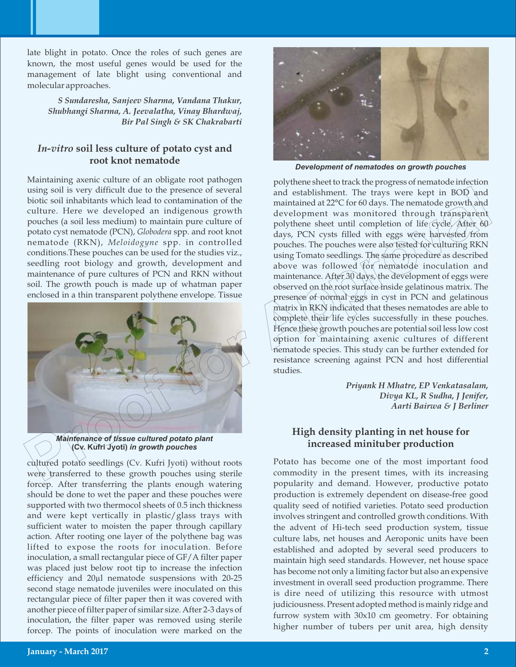late blight in potato. Once the roles of such genes are known, the most useful genes would be used for the management of late blight using conventional and molecular approaches.

*S Sundaresha, Sanjeev Sharma, Vandana Thakur, Shubhangi Sharma, A. Jeevalatha, Vinay Bhardwaj, Bir Pal Singh & SK Chakrabarti*

## *In-vitro* **soil less culture of potato cyst and root knot nematode**

Maintaining axenic culture of an obligate root pathogen using soil is very difficult due to the presence of several biotic soil inhabitants which lead to contamination of the culture. Here we developed an indigenous growth pouches (a soil less medium) to maintain pure culture of potato cyst nematode (PCN), *Globodera* spp. and root knot nematode (RKN), *Meloidogyne* spp. in controlled conditions.These pouches can be used for the studies viz., seedling root biology and growth, development and maintenance of pure cultures of PCN and RKN without soil. The growth pouch is made up of whatman paper enclosed in a thin transparent polythene envelope. Tissue



*Maintenance of tissue cultured potato plant*  **(Cv. Kufri Jyoti)** *in growth pouches*

cultured potato seedlings (Cv. Kufri Jyoti) without roots were transferred to these growth pouches using sterile forcep. After transferring the plants enough watering should be done to wet the paper and these pouches were supported with two thermocol sheets of 0.5 inch thickness and were kept vertically in plastic/glass trays with sufficient water to moisten the paper through capillary action. After rooting one layer of the polythene bag was lifted to expose the roots for inoculation. Before inoculation, a small rectangular piece of GF/A filter paper was placed just below root tip to increase the infection efficiency and 20µl nematode suspensions with 20-25 second stage nematode juveniles were inoculated on this rectangular piece of filter paper then it was covered with another piece of filter paper of similar size. After 2-3 days of inoculation, the filter paper was removed using sterile forcep. The points of inoculation were marked on the



*Development of nematodes on growth pouches*

polythene sheet to track the progress of nematode infection and establishment. The trays were kept in BOD and maintained at 22°C for 60 days. The nematode growth and development was monitored through transparent polythene sheet until completion of life cycle. After  $60^{\circ}$ days, PCN cysts filled with eggs were harvested/from pouches. The pouches were also tested for culturing RKN using Tomato seedlings. The same procedure as described above was followed for nematode inoculation and maintenance. After 30 days, the development of eggs were observed on the root surface inside gelatinous matrix. The presence of normal eggs in cyst in PCN and gelatinous matrix in RKN indicated that theses nematodes are able to complete their life cycles successfully in these pouches. Hence these growth pouches are potential soil less low cost option for maintaining axenic cultures of different nematode species. This study can be further extended for resistance screening against PCN and host differential studies. using soli is very difficult due to the presence of several propositions of interactions with the team and estual proposition of the minimizaring of the team and proposition of the proposition of the proof of a proposition

*Priyank H Mhatre, EP Venkatasalam, Divya KL, R Sudha, J Jenifer, Aarti Bairwa & J Berliner*

### **High density planting in net house for increased minituber production**

Potato has become one of the most important food commodity in the present times, with its increasing popularity and demand. However, productive potato production is extremely dependent on disease-free good quality seed of notified varieties. Potato seed production involves stringent and controlled growth conditions. With the advent of Hi-tech seed production system, tissue culture labs, net houses and Aeroponic units have been established and adopted by several seed producers to maintain high seed standards. However, net house space has become not only a limiting factor but also an expensive investment in overall seed production programme. There is dire need of utilizing this resource with utmost judiciousness. Present adopted method is mainly ridge and furrow system with 30x10 cm geometry. For obtaining higher number of tubers per unit area, high density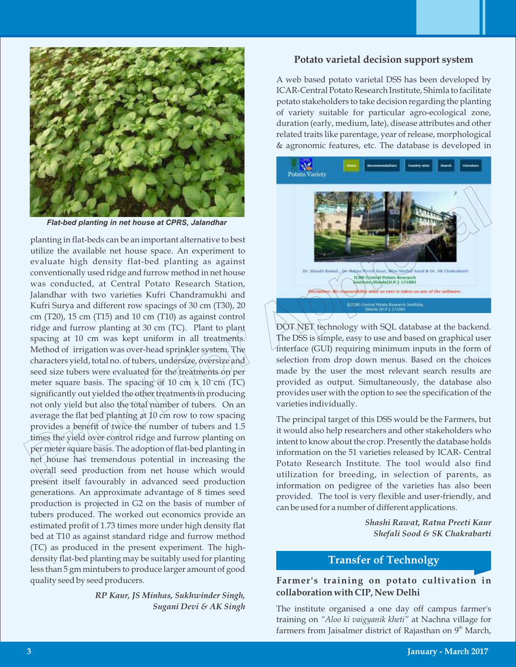

*Flat-bed planting in net house at CPRS, Jalandhar*

planting in flat-beds can be an important alternative to best utilize the available net house space. An experiment to evaluate high density flat-bed planting as against conventionally used ridge and furrow method in net house was conducted, at Central Potato Research Station, Jalandhar with two varieties Kufri Chandramukhi and Kufri Surya and different row spacings of 30 cm (T30), 20 cm (T20), 15 cm (T15) and 10 cm (T10) as against control ridge and furrow planting at 30 cm (TC). Plant to plant spacing at 10 cm was kept uniform in all treatments. Method of irrigation was over-head sprinkler system. The characters yield, total no. of tubers, undersize, oversize and seed size tubers were evaluated for the treatments on per meter square basis. The spacing of 10 cm  $\times$  10 cm (TC) significantly out yielded the other treatments in producing not only yield but also the total number of tubers. On an average the flat bed planting at 10 cm row to row spacing provides a benefit of twice the number of tubers and 1.5 times the yield over control ridge and furrow planting on per meter square basis. The adoption of flat-bed planting in net house has tremendous potential in increasing the overall seed production from net house which would present itself favourably in advanced seed production generations. An approximate advantage of 8 times seed production is projected in G2 on the basis of number of tubers produced. The worked out economics provide an estimated profit of 1.73 times more under high density flat bed at T10 as against standard ridge and furrow method (TC) as produced in the present experiment. The highdensity flat-bed planting may be suitably used for planting less than 5 gm mintubers to produce larger amount of good quality seed by seed producers. **Proof for Approximation Provided the content of the best state of the content of the content of the content of the content of the content of the content of the content of the content of the content of the content of the** 

> *RP Kaur, JS Minhas, Sukhwinder Singh, Sugani Devi & AK Singh*

#### **Potato varietal decision support system**

A web based potato varietal DSS has been developed by ICAR-Central Potato Research Institute, Shimla to facilitate potato stakeholders to take decision regarding the planting of variety suitable for particular agro-ecological zone, duration (early, medium, late), disease attributes and other related traits like parentage, year of release, morphological & agronomic features, etc. The database is developed in



DOT NET technology with SQL database at the backend. The DSS is simple, easy to use and based on graphical user interface (GUI) requiring minimum inputs in the form of selection from drop down menus. Based on the choices made by the user the most relevant search results are provided as output. Simultaneously, the database also provides user with the option to see the specification of the varieties individually.

The principal target of this DSS would be the Farmers, but it would also help researchers and other stakeholders who intent to know about the crop. Presently the database holds information on the 51 varieties released by ICAR- Central Potato Research Institute. The tool would also find utilization for breeding, in selection of parents, as information on pedigree of the varieties has also been provided. The tool is very flexible and user-friendly, and can be used for a number of different applications.

> *Shashi Rawat, Ratna Preeti Kaur Shefali Sood & SK Chakrabarti*

# **Transfer of Technolgy**

### **Farmer's training on potato cultivation in collaboration with CIP, New Delhi**

The institute organised a one day off campus farmer's training on *"Aloo ki vaigyanik kheti"* at Nachna village for farmers from Jaisalmer district of Rajasthan on  $9<sup>th</sup>$  March,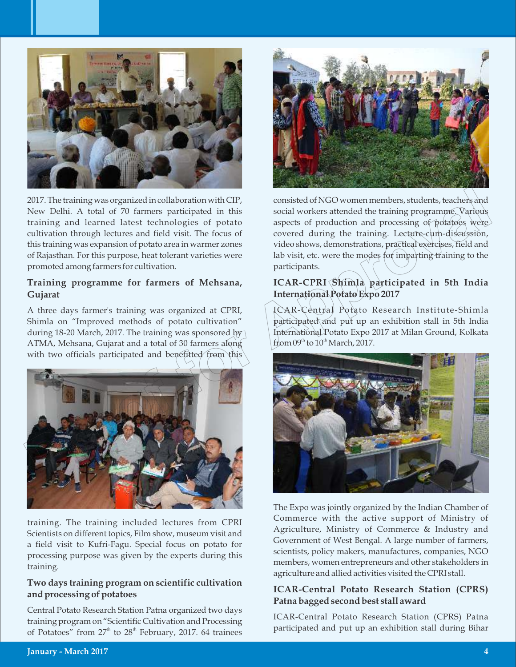

2017. The training was organized in collaboration with CIP, New Delhi. A total of 70 farmers participated in this training and learned latest technologies of potato cultivation through lectures and field visit. The focus of this training was expansion of potato area in warmer zones of Rajasthan. For this purpose, heat tolerant varieties were promoted among farmers for cultivation.

### **Training programme for farmers of Mehsana, Gujarat**

A three days farmer's training was organized at CPRI, Shimla on "Improved methods of potato cultivation" during 18-20 March, 2017. The training was sponsored by ATMA, Mehsana, Gujarat and a total of 30 farmers along with two officials participated and benefitted from this



training. The training included lectures from CPRI Scientists on different topics, Film show, museum visit and a field visit to Kufri-Fagu. Special focus on potato for processing purpose was given by the experts during this training.

### **Two days training program on scientific cultivation and processing of potatoes**

Central Potato Research Station Patna organized two days training program on "Scientific Cultivation and Processing of Potatoes" from  $27<sup>th</sup>$  to  $28<sup>th</sup>$  February, 2017. 64 trainees



consisted of NGO women members, students, teachers and social workers attended the training programme. Various aspects of production and processing of potatoes were covered during the training. Lecture-cum-discussion, video shows, demonstrations, practical exercises, field and lab visit, etc. were the modes for imparting training to the participants.

## **ICAR-CPRI Shimla participated in 5th India International Potato Expo 2017**

ICAR-Central Potato Research Institute-Shimla participated and put up an exhibition stall in 5th India International Potato Expo 2017 at Milan Ground, Kolkata from  $09<sup>th</sup>$  to  $10<sup>th</sup>$  March, 2017.



The Expo was jointly organized by the Indian Chamber of Commerce with the active support of Ministry of Agriculture, Ministry of Commerce & Industry and Government of West Bengal. A large number of farmers, scientists, policy makers, manufactures, companies, NGO members, women entrepreneurs and other stakeholders in agriculture and allied activities visited the CPRI stall.

### **ICAR-Central Potato Research Station (CPRS) Patna bagged second best stall award**

ICAR-Central Potato Research Station (CPRS) Patna participated and put up an exhibition stall during Bihar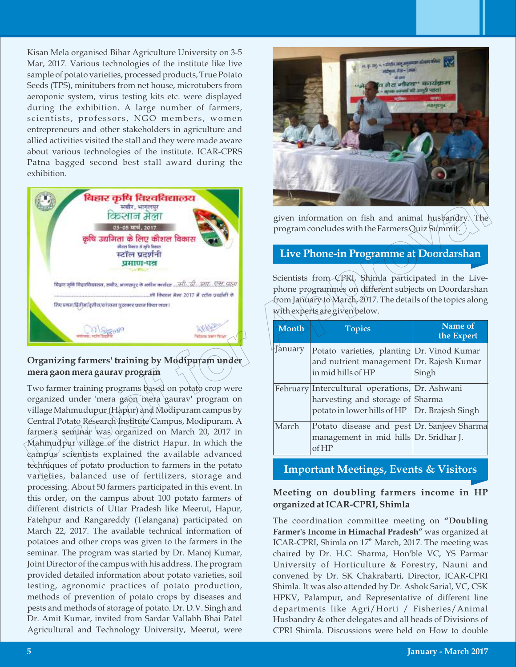Kisan Mela organised Bihar Agriculture University on 3-5 Mar, 2017. Various technologies of the institute like live sample of potato varieties, processed products, True Potato Seeds (TPS), minitubers from net house, microtubers from aeroponic system, virus testing kits etc. were displayed during the exhibition. A large number of farmers, scientists, professors, NGO members, women entrepreneurs and other stakeholders in agriculture and allied activities visited the stall and they were made aware about various technologies of the institute. ICAR-CPRS Patna bagged second best stall award during the exhibition.



# **Organizing farmers' training by Modipuram under mera gaon mera gaurav program**

Two farmer training programs based on potato crop were organized under 'mera gaon mera gaurav' program on village Mahmudupur (Hapur) and Modipuram campus by Central Potato Research Institute Campus, Modipuram. A farmer's seminar was organized on March 20, 2017 in Mahmudpur village of the district Hapur. In which the campus scientists explained the available advanced techniques of potato production to farmers in the potato varieties, balanced use of fertilizers, storage and processing. About 50 farmers participated in this event. In this order, on the campus about 100 potato farmers of different districts of Uttar Pradesh like Meerut, Hapur, Fatehpur and Rangareddy (Telangana) participated on March 22, 2017. The available technical information of potatoes and other crops was given to the farmers in the seminar. The program was started by Dr. Manoj Kumar, Joint Director of the campus with his address. The program provided detailed information about potato varieties, soil testing, agronomic practices of potato production, methods of prevention of potato crops by diseases and pests and methods of storage of potato. Dr. D.V. Singh and Dr. Amit Kumar, invited from Sardar Vallabh Bhai Patel Agricultural and Technology University, Meerut, were



given information on fish and animal husbandry. The program concludes with the Farmers Quiz Summit.

### **Live Phone-in Programme at Doordarshan**

Scientists from CPRI, Shimla participated in the Livephone programmes on different subjects on Doordarshan from January to March, 2017. The details of the topics along with experts are given below.

| Month   | <b>Topics</b>                                                                                                                         | Name of<br>the Expert |
|---------|---------------------------------------------------------------------------------------------------------------------------------------|-----------------------|
| January | Potato varieties, planting Dr. Vinod Kumar<br>and nutrient management Dr. Rajesh Kumar<br>in mid hills of HP                          | Singh                 |
|         | February Intercultural operations, Dr. Ashwani<br>harvesting and storage of Sharma<br>potato in lower hills of HP   Dr. Brajesh Singh |                       |
| March   | Potato disease and pest Dr. Sanjeev Sharma<br>management in mid hills Dr. Sridhar J.<br>of HP                                         |                       |

# **Important Meetings, Events & Visitors**

# **Meeting on doubling farmers income in HP organized at ICAR-CPRI, Shimla**

The coordination committee meeting on **"Doubling Farmer's Income in Himachal Pradesh"** was organized at ICAR-CPRI, Shimla on 17<sup>th</sup> March, 2017. The meeting was chaired by Dr. H.C. Sharma, Hon'ble VC, YS Parmar University of Horticulture & Forestry, Nauni and convened by Dr. SK Chakrabarti, Director, ICAR-CPRI Shimla. It was also attended by Dr. Ashok Sarial, VC, CSK HPKV, Palampur, and Representative of different line departments like Agri/Horti / Fisheries/Animal Husbandry & other delegates and all heads of Divisions of CPRI Shimla. Discussions were held on How to double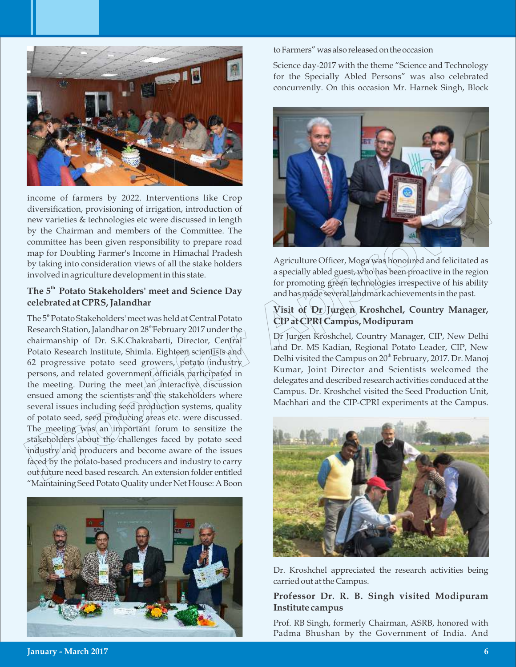

income of farmers by 2022. Interventions like Crop diversification, provisioning of irrigation, introduction of new varieties & technologies etc were discussed in length by the Chairman and members of the Committee. The committee has been given responsibility to prepare road map for Doubling Farmer's Income in Himachal Pradesh by taking into consideration views of all the stake holders involved in agriculture development in this state.

# **th The 5 Potato Stakeholders' meet and Science Day celebrated at CPRS, Jalandhar**

The 5<sup>th</sup> Potato Stakeholders' meet was held at Central Potato Research Station, Jalandhar on  $28<sup>th</sup>$ February 2017 under the chairmanship of Dr. S.K.Chakrabarti, Director, Central Potato Research Institute, Shimla. Eighteen scientists and 62 progressive potato seed growers, potato industry persons, and related government officials participated in the meeting. During the meet an interactive discussion ensued among the scientists and the stakeholders where several issues including seed production systems, quality of potato seed, seed producing areas etc. were discussed. The meeting was an important forum to sensitize the stakeholders about the challenges faced by potato seed industry and producers and become aware of the issues faced by the potato-based producers and industry to carry out future need based research. An extension folder entitled "MaintainingSeed Potato Quality under Net House: A Boon income of farmers by 2022. Interventions like Crop contributed for the Carrier of the Capital and members of the Committee and anomelone of the Capital control of the Capital control of the Capital and the committee is bee



toFarmers"wasalsoreleasedontheoccasion

Science day-2017 with the theme "Science and Technology for the Specially Abled Persons" was also celebrated concurrently. On this occasion Mr. Harnek Singh, Block



Agriculture Officer, Moga was honoured and felicitated as a specially abled guest, who has been proactive in the region for promoting green technologies irrespective of his ability and has made several landmark achievements in the past.

# **Visit of Dr Jurgen Kroshchel, Country Manager, CIP at CPRI Campus, Modipuram**

Dr Jurgen Kroshchel, Country Manager, CIP, New Delhi and Dr. MS Kadian, Regional Potato Leader, CIP, New Delhi visited the Campus on 20<sup>th</sup> February, 2017. Dr. Manoj Kumar, Joint Director and Scientists welcomed the delegates and described research activities conduced at the Campus. Dr. Kroshchel visited the Seed Production Unit, Machhari and the CIP-CPRI experiments at the Campus.



Dr. Kroshchel appreciated the research activities being carried out at the Campus.

### **Professor Dr. R. B. Singh visited Modipuram Institute campus**

Prof. RB Singh, formerly Chairman, ASRB, honored with Padma Bhushan by the Government of India. And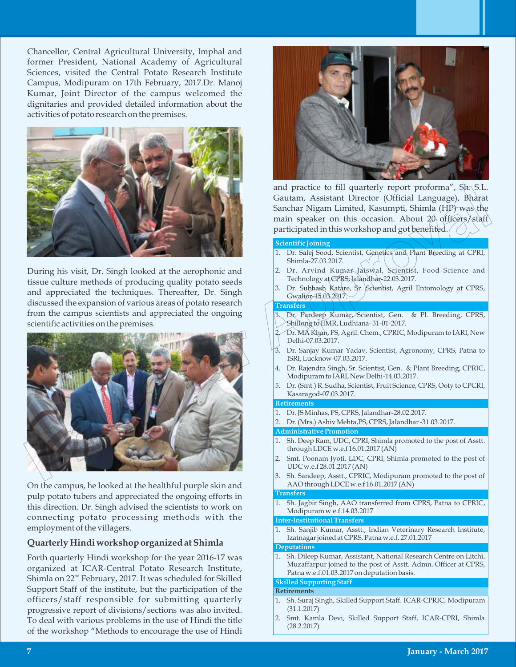Chancellor, Central Agricultural University, Imphal and former President, National Academy of Agricultural Sciences, visited the Central Potato Research Institute Campus, Modipuram on 17th February, 2017.Dr. Manoj Kumar, Joint Director of the campus welcomed the dignitaries and provided detailed information about the activities of potato research on the premises.



During his visit, Dr. Singh looked at the aerophonic and tissue culture methods of producing quality potato seeds and appreciated the techniques. Thereafter, Dr. Singh discussed the expansion of various areas of potato research from the campus scientists and appreciated the ongoing scientific activities on the premises.



On the campus, he looked at the healthful purple skin and pulp potato tubers and appreciated the ongoing efforts in this direction. Dr. Singh advised the scientists to work on connecting potato processing methods with the employment of the villagers.

#### **Quarterly Hindi workshop organized at Shimla**

Forth quarterly Hindi workshop for the year 2016-17 was organized at ICAR-Central Potato Research Institute, Shimla on  $22<sup>nd</sup>$  February, 2017. It was scheduled for Skilled Support Staff of the institute, but the participation of the officers/staff responsible for submitting quarterly progressive report of divisions/sections was also invited. To deal with various problems in the use of Hindi the title of the workshop "Methods to encourage the use of Hindi



and practice to fill quarterly report proforma", Sh. S.L. Gautam, Assistant Director (Official Language), Bharat Sanchar Nigam Limited, Kasumpti, Shimla (HP) was the main speaker on this occasion. About 20 officers/staff participated in this workshop and got benefited.

#### **Scientific Joining**

- 1. Dr. Salej Sood, Scientist, Genetics and Plant Breeding at CPRI, Shimla-27.03.2017.
- 2. Dr. Arvind Kumar Jaiswal, Scientist, Food Science and Technology at CPRS, Jalandhar-22.03.2017.
- 3. Dr. Subhash Katare, Sr. Scientist, Agril Entomology at CPRS, Gwalior-15.03.2017.

#### **Transfers**

- Dr. Pardeep Kumar, Scientist, Gen. & Pl. Breeding, CPRS, Shillong to IIMR, Ludhiana- 31-01-2017.
- 2. Dr. MA Khan, PS, Agril. Chem., CPRIC, Modipuram to IARI, New Delhi-07.03.2017.
- 3. Dr. Sanjay Kumar Yadav, Scientist, Agronomy, CPRS, Patna to ISRI, Lucknow-07.03.2017.
- 4. Dr. Rajendra Singh, Sr. Scientist, Gen. & Plant Breeding, CPRIC, Modipuram to IARI, New Delhi-14.03.2017.
- 5. Dr. (Smt.) R. Sudha, Scientist, Fruit Science, CPRS, Ooty to CPCRI, Kasaragod-07.03.2017.

#### **Retirements**

- 1. Dr. JS Minhas, PS, CPRS, Jalandhar-28.02.2017.
- 2. Dr. (Mrs.) Ashiv Mehta,PS, CPRS, Jalandhar -31.03.2017.

#### **Administrative Promotion**

- 1. Sh. Deep Ram, UDC, CPRI, Shimla promoted to the post of Asstt. through LDCE w.e.f 16.01.2017 (AN)
- 2. Smt. Poonam Jyoti, LDC, CPRI, Shimla promoted to the post of UDC w.e.f 28.01.2017 (AN)
- 3. Sh. Sandeep, Asstt., CPRIC, Modipuram promoted to the post of AAO through LDCE w.e.f 16.01.2017 (AN)

#### **Transfers**

1. Sh. Jagbir Singh, AAO transferred from CPRS, Patna to CPRIC, Modipuram w.e.f.14.03.2017

#### **Inter-Institutional Transfers**

1. Sh. Sanjib Kumar, Asstt., Indian Veterinary Research Institute, Izatnagar joined at CPRS, Patna w.e.f. 27.01.2017

#### **Deputations**

1. Sh. Dileep Kumar, Assistant, National Research Centre on Litchi, Muzaffarpur joined to the post of Asstt. Admn. Officer at CPRS, Patna w.e.f.01.03.2017 on deputation basis.

#### **Skilled Supporting Staff**

#### **Retirements**

- 1. Sh. Suraj Singh, Skilled Support Staff. ICAR-CPRIC, Modipuram (31.1.2017)
- 2. Smt. Kamla Devi, Skilled Support Staff, ICAR-CPRI, Shimla (28.2.2017)